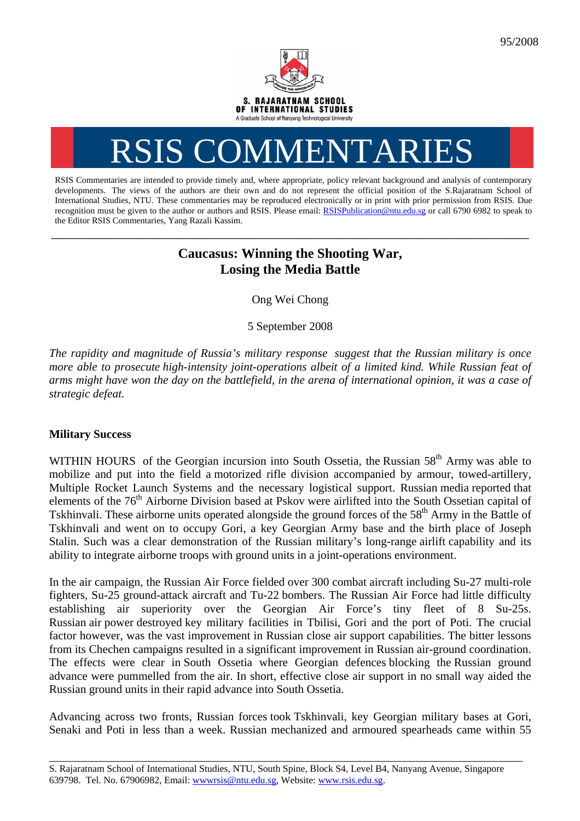

# RSIS COMMENTARI

RSIS Commentaries are intended to provide timely and, where appropriate, policy relevant background and analysis of contemporary developments. The views of the authors are their own and do not represent the official position of the S.Rajaratnam School of International Studies, NTU. These commentaries may be reproduced electronically or in print with prior permission from RSIS. Due recognition must be given to the author or authors and RSIS. Please email: [RSISPublication@ntu.edu.sg](mailto:RSISPublication@ntu.edu.sg) or call 6790 6982 to speak to the Editor RSIS Commentaries, Yang Razali Kassim.

## **Caucasus: Winning the Shooting War, Losing the Media Battle**

**\_\_\_\_\_\_\_\_\_\_\_\_\_\_\_\_\_\_\_\_\_\_\_\_\_\_\_\_\_\_\_\_\_\_\_\_\_\_\_\_\_\_\_\_\_\_\_\_\_\_\_\_\_\_\_\_\_\_\_\_\_\_\_\_\_\_\_\_\_\_\_\_\_\_\_\_\_\_\_\_\_\_\_\_\_\_\_\_\_\_\_\_\_\_\_\_\_\_** 

Ong Wei Chong

5 September 2008

*The rapidity and magnitude of Russia's military response suggest that the Russian military is once more able to prosecute high-intensity joint-operations albeit of a limited kind. While Russian feat of arms might have won the day on the battlefield, in the arena of international opinion, it was a case of strategic defeat.* 

### **Military Success**

WITHIN HOURS of the Georgian incursion into South Ossetia, the Russian 58<sup>th</sup> Army was able to mobilize and put into the field a motorized rifle division accompanied by armour, towed-artillery, Multiple Rocket Launch Systems and the necessary logistical support. Russian media reported that elements of the 76<sup>th</sup> Airborne Division based at Pskov were airlifted into the South Ossetian capital of Tskhinvali. These airborne units operated alongside the ground forces of the 58<sup>th</sup> Army in the Battle of Tskhinvali and went on to occupy Gori, a key Georgian Army base and the birth place of Joseph Stalin. Such was a clear demonstration of the Russian military's long-range airlift capability and its ability to integrate airborne troops with ground units in a joint-operations environment.

In the air campaign, the Russian Air Force fielded over 300 combat aircraft including Su-27 multi-role fighters, Su-25 ground-attack aircraft and Tu-22 bombers. The Russian Air Force had little difficulty establishing air superiority over the Georgian Air Force's tiny fleet of 8 Su-25s. Russian air power destroyed key military facilities in Tbilisi, Gori and the port of Poti. The crucial factor however, was the vast improvement in Russian close air support capabilities. The bitter lessons from its Chechen campaigns resulted in a significant improvement in Russian air-ground coordination. The effects were clear in South Ossetia where Georgian defences blocking the Russian ground advance were pummelled from the air. In short, effective close air support in no small way aided the Russian ground units in their rapid advance into South Ossetia.

Advancing across two fronts, Russian forces took Tskhinvali, key Georgian military bases at Gori, Senaki and Poti in less than a week. Russian mechanized and armoured spearheads came within 55

\_\_\_\_\_\_\_\_\_\_\_\_\_\_\_\_\_\_\_\_\_\_\_\_\_\_\_\_\_\_\_\_\_\_\_\_\_\_\_\_\_\_\_\_\_\_\_\_\_\_\_\_\_\_\_\_\_\_\_\_\_\_\_\_\_\_\_\_\_\_\_\_\_\_\_\_\_\_\_\_\_

S. Rajaratnam School of International Studies, NTU, South Spine, Block S4, Level B4, Nanyang Avenue, Singapore 639798. Tel. No. 67906982, Email: wwwrsis@ntu.edu.sg, Website: www.rsis.edu.sg.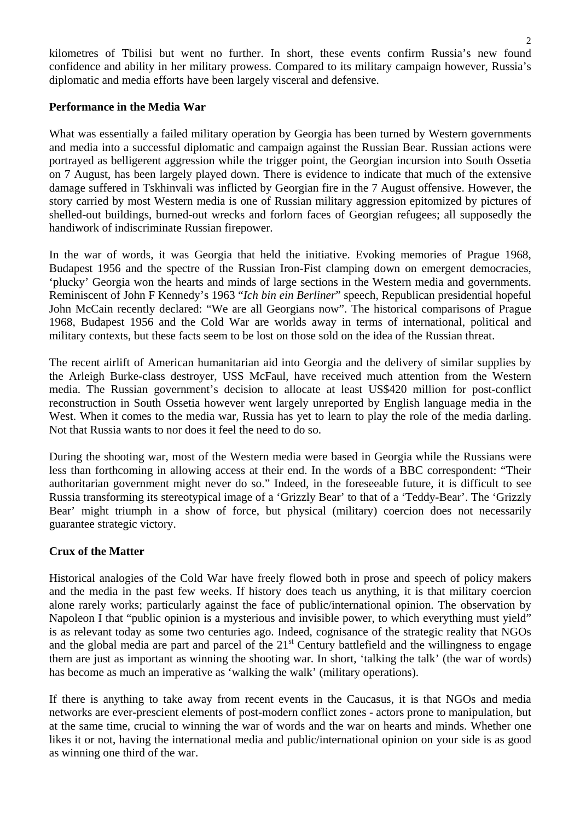kilometres of Tbilisi but went no further. In short, these events confirm Russia's new found confidence and ability in her military prowess. Compared to its military campaign however, Russia's diplomatic and media efforts have been largely visceral and defensive.

#### **Performance in the Media War**

What was essentially a failed military operation by Georgia has been turned by Western governments and media into a successful diplomatic and campaign against the Russian Bear. Russian actions were portrayed as belligerent aggression while the trigger point, the Georgian incursion into South Ossetia on 7 August, has been largely played down. There is evidence to indicate that much of the extensive damage suffered in Tskhinvali was inflicted by Georgian fire in the 7 August offensive. However, the story carried by most Western media is one of Russian military aggression epitomized by pictures of shelled-out buildings, burned-out wrecks and forlorn faces of Georgian refugees; all supposedly the handiwork of indiscriminate Russian firepower.

In the war of words, it was Georgia that held the initiative. Evoking memories of Prague 1968, Budapest 1956 and the spectre of the Russian Iron-Fist clamping down on emergent democracies, 'plucky' Georgia won the hearts and minds of large sections in the Western media and governments. Reminiscent of John F Kennedy's 1963 "*Ich bin ein Berliner*" speech, Republican presidential hopeful John McCain recently declared: "We are all Georgians now". The historical comparisons of Prague 1968, Budapest 1956 and the Cold War are worlds away in terms of international, political and military contexts, but these facts seem to be lost on those sold on the idea of the Russian threat.

The recent airlift of American humanitarian aid into Georgia and the delivery of similar supplies by the Arleigh Burke-class destroyer, USS McFaul, have received much attention from the Western media. The Russian government's decision to allocate at least US\$420 million for post-conflict reconstruction in South Ossetia however went largely unreported by English language media in the West. When it comes to the media war, Russia has yet to learn to play the role of the media darling. Not that Russia wants to nor does it feel the need to do so.

During the shooting war, most of the Western media were based in Georgia while the Russians were less than forthcoming in allowing access at their end. In the words of a BBC correspondent: "Their authoritarian government might never do so." Indeed, in the foreseeable future, it is difficult to see Russia transforming its stereotypical image of a 'Grizzly Bear' to that of a 'Teddy-Bear'. The 'Grizzly Bear' might triumph in a show of force, but physical (military) coercion does not necessarily guarantee strategic victory.

### **Crux of the Matter**

Historical analogies of the Cold War have freely flowed both in prose and speech of policy makers and the media in the past few weeks. If history does teach us anything, it is that military coercion alone rarely works; particularly against the face of public/international opinion. The observation by Napoleon I that "public opinion is a mysterious and invisible power, to which everything must yield" is as relevant today as some two centuries ago. Indeed, cognisance of the strategic reality that NGOs and the global media are part and parcel of the 21<sup>st</sup> Century battlefield and the willingness to engage them are just as important as winning the shooting war. In short, 'talking the talk' (the war of words) has become as much an imperative as 'walking the walk' (military operations).

If there is anything to take away from recent events in the Caucasus, it is that NGOs and media networks are ever-prescient elements of post-modern conflict zones - actors prone to manipulation, but at the same time, crucial to winning the war of words and the war on hearts and minds. Whether one likes it or not, having the international media and public/international opinion on your side is as good as winning one third of the war.